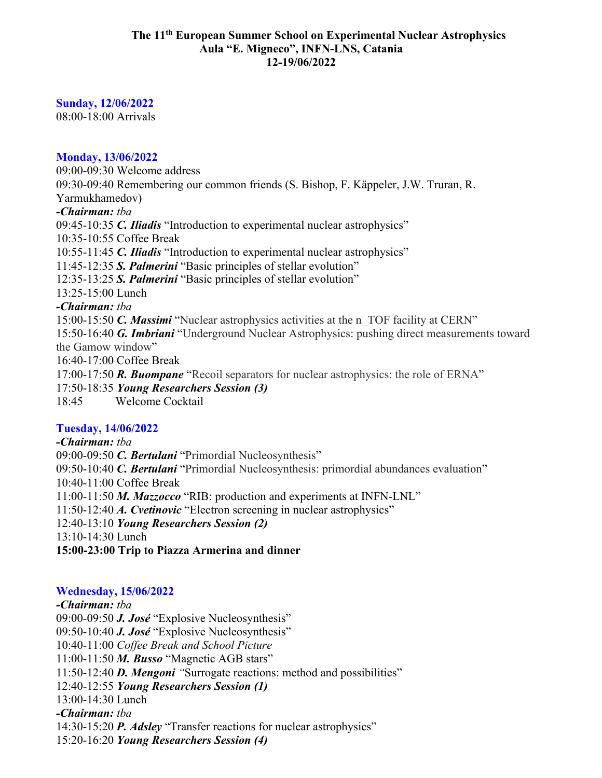#### **The 11th European Summer School on Experimental Nuclear Astrophysics Aula "E. Migneco", INFN-LNS, Catania 12-19/06/2022**

## **Sunday, 12/06/2022**

08:00-18:00 Arrivals

### **Monday, 13/06/2022**

09:00-09:30 Welcome address 09:30-09:40 Remembering our common friends (S. Bishop, F. Käppeler, J.W. Truran, R. Yarmukhamedov) *-Chairman: tba* 09:45-10:35 *C. Iliadis* "Introduction to experimental nuclear astrophysics" 10:35-10:55 Coffee Break 10:55-11:45 *C. Iliadis* "Introduction to experimental nuclear astrophysics" 11:45-12:35 *S. Palmerini* "Basic principles of stellar evolution" 12:35-13:25 *S. Palmerini* "Basic principles of stellar evolution" 13:25-15:00 Lunch *-Chairman: tba* 15:00-15:50 *C. Massimi* "Nuclear astrophysics activities at the n\_TOF facility at CERN" 15:50-16:40 *G. Imbriani* "Underground Nuclear Astrophysics: pushing direct measurements toward the Gamow window" 16:40-17:00 Coffee Break 17:00-17:50 *R. Buompane* "Recoil separators for nuclear astrophysics: the role of ERNA" 17:50-18:35 *Young Researchers Session (3)* 18:45 Welcome Cocktail **Tuesday, 14/06/2022**

*-Chairman: tba* 09:00-09:50 *C. Bertulani* "Primordial Nucleosynthesis" 09:50-10:40 *C. Bertulani* "Primordial Nucleosynthesis: primordial abundances evaluation" 10:40-11:00 Coffee Break 11:00-11:50 *M. Mazzocco* "RIB: production and experiments at INFN-LNL" 11:50-12:40 *A. Cvetinovic* "Electron screening in nuclear astrophysics" 12:40-13:10 *Young Researchers Session (2)* 13:10-14:30 Lunch **15:00-23:00 Trip to Piazza Armerina and dinner**

## **Wednesday, 15/06/2022**

*-Chairman: tba* 09:00-09:50 *J. José* "Explosive Nucleosynthesis" 09:50-10:40 *J. José* "Explosive Nucleosynthesis" 10:40-11:00 *Coffee Break and School Picture* 11:00-11:50 *M. Busso* "Magnetic AGB stars" 11:50-12:40 *D. Mengoni "*Surrogate reactions: method and possibilities" 12:40-12:55 *Young Researchers Session (1)* 13:00-14:30 Lunch *-Chairman: tba* 14:30-15:20 *P. Adsley* "Transfer reactions for nuclear astrophysics" 15:20-16:20 *Young Researchers Session (4)*